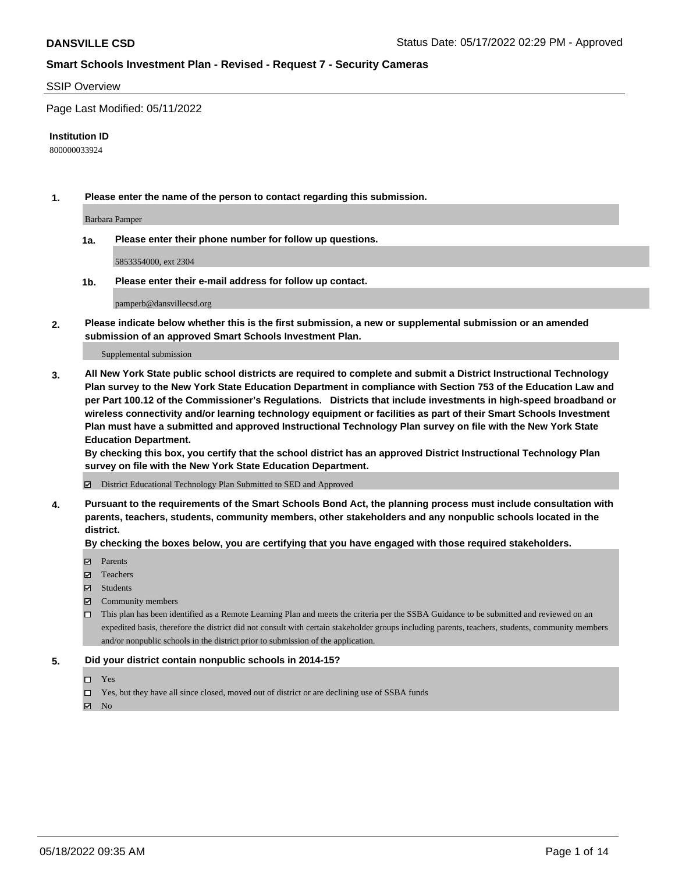#### SSIP Overview

Page Last Modified: 05/11/2022

#### **Institution ID**

800000033924

**1. Please enter the name of the person to contact regarding this submission.**

Barbara Pamper

**1a. Please enter their phone number for follow up questions.**

5853354000, ext 2304

**1b. Please enter their e-mail address for follow up contact.**

pamperb@dansvillecsd.org

**2. Please indicate below whether this is the first submission, a new or supplemental submission or an amended submission of an approved Smart Schools Investment Plan.**

Supplemental submission

**3. All New York State public school districts are required to complete and submit a District Instructional Technology Plan survey to the New York State Education Department in compliance with Section 753 of the Education Law and per Part 100.12 of the Commissioner's Regulations. Districts that include investments in high-speed broadband or wireless connectivity and/or learning technology equipment or facilities as part of their Smart Schools Investment Plan must have a submitted and approved Instructional Technology Plan survey on file with the New York State Education Department.** 

**By checking this box, you certify that the school district has an approved District Instructional Technology Plan survey on file with the New York State Education Department.**

District Educational Technology Plan Submitted to SED and Approved

**4. Pursuant to the requirements of the Smart Schools Bond Act, the planning process must include consultation with parents, teachers, students, community members, other stakeholders and any nonpublic schools located in the district.** 

**By checking the boxes below, you are certifying that you have engaged with those required stakeholders.**

- **□** Parents
- Teachers
- Students
- $\Xi$  Community members
- This plan has been identified as a Remote Learning Plan and meets the criteria per the SSBA Guidance to be submitted and reviewed on an expedited basis, therefore the district did not consult with certain stakeholder groups including parents, teachers, students, community members and/or nonpublic schools in the district prior to submission of the application.

#### **5. Did your district contain nonpublic schools in 2014-15?**

- Yes
- $\Box$  Yes, but they have all since closed, moved out of district or are declining use of SSBA funds

 $\boxtimes$  No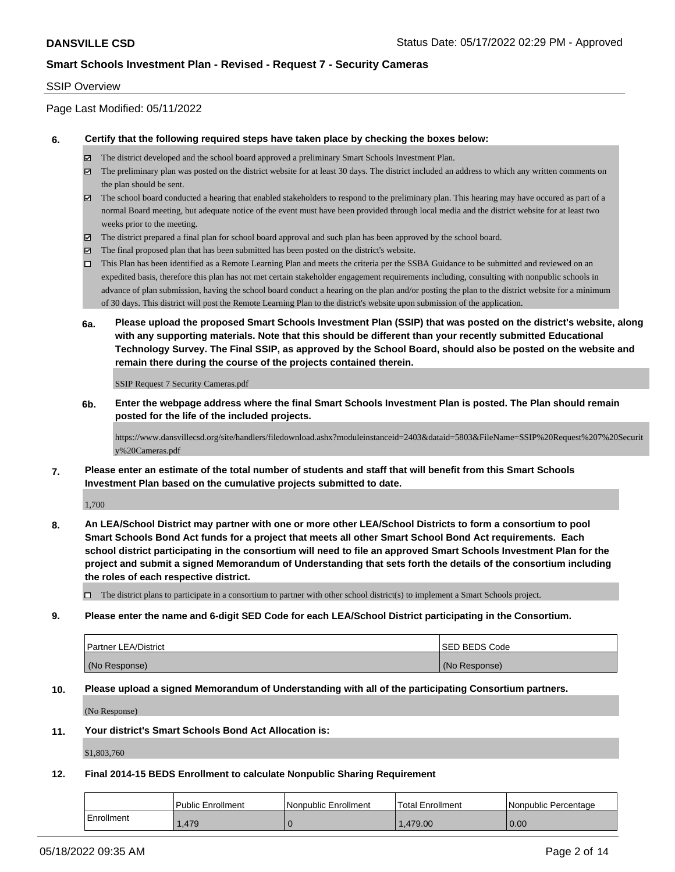### SSIP Overview

Page Last Modified: 05/11/2022

### **6. Certify that the following required steps have taken place by checking the boxes below:**

- The district developed and the school board approved a preliminary Smart Schools Investment Plan.
- $\boxtimes$  The preliminary plan was posted on the district website for at least 30 days. The district included an address to which any written comments on the plan should be sent.
- $\boxtimes$  The school board conducted a hearing that enabled stakeholders to respond to the preliminary plan. This hearing may have occured as part of a normal Board meeting, but adequate notice of the event must have been provided through local media and the district website for at least two weeks prior to the meeting.
- The district prepared a final plan for school board approval and such plan has been approved by the school board.
- $\boxtimes$  The final proposed plan that has been submitted has been posted on the district's website.
- This Plan has been identified as a Remote Learning Plan and meets the criteria per the SSBA Guidance to be submitted and reviewed on an expedited basis, therefore this plan has not met certain stakeholder engagement requirements including, consulting with nonpublic schools in advance of plan submission, having the school board conduct a hearing on the plan and/or posting the plan to the district website for a minimum of 30 days. This district will post the Remote Learning Plan to the district's website upon submission of the application.
- **6a. Please upload the proposed Smart Schools Investment Plan (SSIP) that was posted on the district's website, along with any supporting materials. Note that this should be different than your recently submitted Educational Technology Survey. The Final SSIP, as approved by the School Board, should also be posted on the website and remain there during the course of the projects contained therein.**

SSIP Request 7 Security Cameras.pdf

**6b. Enter the webpage address where the final Smart Schools Investment Plan is posted. The Plan should remain posted for the life of the included projects.**

https://www.dansvillecsd.org/site/handlers/filedownload.ashx?moduleinstanceid=2403&dataid=5803&FileName=SSIP%20Request%207%20Securit y%20Cameras.pdf

**7. Please enter an estimate of the total number of students and staff that will benefit from this Smart Schools Investment Plan based on the cumulative projects submitted to date.**

1,700

**8. An LEA/School District may partner with one or more other LEA/School Districts to form a consortium to pool Smart Schools Bond Act funds for a project that meets all other Smart School Bond Act requirements. Each school district participating in the consortium will need to file an approved Smart Schools Investment Plan for the project and submit a signed Memorandum of Understanding that sets forth the details of the consortium including the roles of each respective district.**

 $\Box$  The district plans to participate in a consortium to partner with other school district(s) to implement a Smart Schools project.

#### **9. Please enter the name and 6-digit SED Code for each LEA/School District participating in the Consortium.**

| Partner LEA/District | <b>ISED BEDS Code</b> |
|----------------------|-----------------------|
| (No Response)        | (No Response)         |

### **10. Please upload a signed Memorandum of Understanding with all of the participating Consortium partners.**

(No Response)

### **11. Your district's Smart Schools Bond Act Allocation is:**

\$1,803,760

# **12. Final 2014-15 BEDS Enrollment to calculate Nonpublic Sharing Requirement**

|            | l Public Enrollment | Nonpublic Enrollment | Total Enrollment | l Nonpublic Percentage |
|------------|---------------------|----------------------|------------------|------------------------|
| Enrollment | .479                |                      | 1.479.00         | 0.00                   |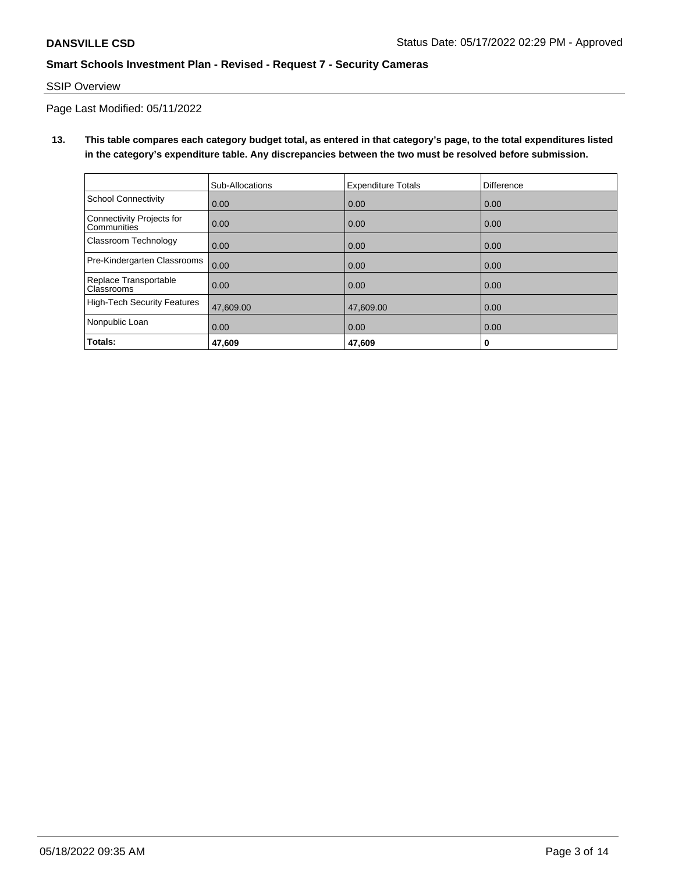# SSIP Overview

Page Last Modified: 05/11/2022

**13. This table compares each category budget total, as entered in that category's page, to the total expenditures listed in the category's expenditure table. Any discrepancies between the two must be resolved before submission.**

|                                            | Sub-Allocations | <b>Expenditure Totals</b> | <b>Difference</b> |
|--------------------------------------------|-----------------|---------------------------|-------------------|
| <b>School Connectivity</b>                 | 0.00            | 0.00                      | 0.00              |
| Connectivity Projects for<br>Communities   | 0.00            | 0.00                      | 0.00              |
| Classroom Technology                       | 0.00            | 0.00                      | 0.00              |
| Pre-Kindergarten Classrooms                | 0.00            | 0.00                      | 0.00              |
| Replace Transportable<br><b>Classrooms</b> | 0.00            | 0.00                      | 0.00              |
| <b>High-Tech Security Features</b>         | 47,609.00       | 47,609.00                 | 0.00              |
| Nonpublic Loan                             | 0.00            | 0.00                      | 0.00              |
| Totals:                                    | 47,609          | 47,609                    | 0                 |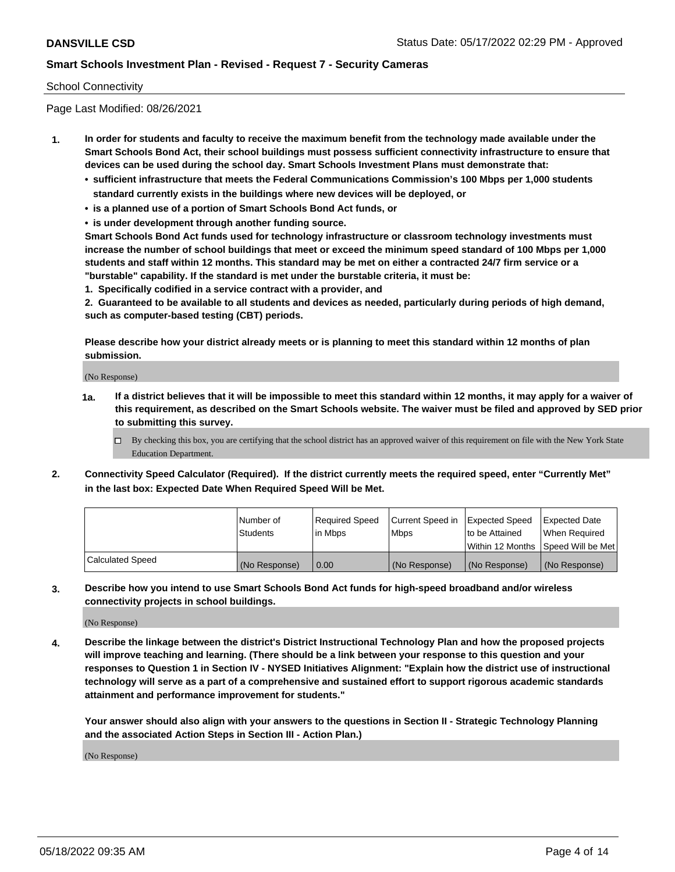### School Connectivity

Page Last Modified: 08/26/2021

- **1. In order for students and faculty to receive the maximum benefit from the technology made available under the Smart Schools Bond Act, their school buildings must possess sufficient connectivity infrastructure to ensure that devices can be used during the school day. Smart Schools Investment Plans must demonstrate that:**
	- **• sufficient infrastructure that meets the Federal Communications Commission's 100 Mbps per 1,000 students standard currently exists in the buildings where new devices will be deployed, or**
	- **• is a planned use of a portion of Smart Schools Bond Act funds, or**
	- **• is under development through another funding source.**

**Smart Schools Bond Act funds used for technology infrastructure or classroom technology investments must increase the number of school buildings that meet or exceed the minimum speed standard of 100 Mbps per 1,000 students and staff within 12 months. This standard may be met on either a contracted 24/7 firm service or a "burstable" capability. If the standard is met under the burstable criteria, it must be:**

**1. Specifically codified in a service contract with a provider, and**

**2. Guaranteed to be available to all students and devices as needed, particularly during periods of high demand, such as computer-based testing (CBT) periods.**

**Please describe how your district already meets or is planning to meet this standard within 12 months of plan submission.**

(No Response)

- **1a. If a district believes that it will be impossible to meet this standard within 12 months, it may apply for a waiver of this requirement, as described on the Smart Schools website. The waiver must be filed and approved by SED prior to submitting this survey.**
	- By checking this box, you are certifying that the school district has an approved waiver of this requirement on file with the New York State Education Department.
- **2. Connectivity Speed Calculator (Required). If the district currently meets the required speed, enter "Currently Met" in the last box: Expected Date When Required Speed Will be Met.**

|                         | l Number of<br><b>Students</b> | Required Speed<br>l in Mbps | Current Speed in<br><b>Mbps</b> | <b>Expected Speed</b><br>to be Attained | Expected Date<br>When Reauired |
|-------------------------|--------------------------------|-----------------------------|---------------------------------|-----------------------------------------|--------------------------------|
|                         |                                |                             |                                 | Within 12 Months 1Speed Will be Met     |                                |
| <b>Calculated Speed</b> | (No Response)                  | 0.00                        | (No Response)                   | (No Response)                           | (No Response)                  |

**3. Describe how you intend to use Smart Schools Bond Act funds for high-speed broadband and/or wireless connectivity projects in school buildings.**

(No Response)

**4. Describe the linkage between the district's District Instructional Technology Plan and how the proposed projects will improve teaching and learning. (There should be a link between your response to this question and your responses to Question 1 in Section IV - NYSED Initiatives Alignment: "Explain how the district use of instructional technology will serve as a part of a comprehensive and sustained effort to support rigorous academic standards attainment and performance improvement for students."** 

**Your answer should also align with your answers to the questions in Section II - Strategic Technology Planning and the associated Action Steps in Section III - Action Plan.)**

(No Response)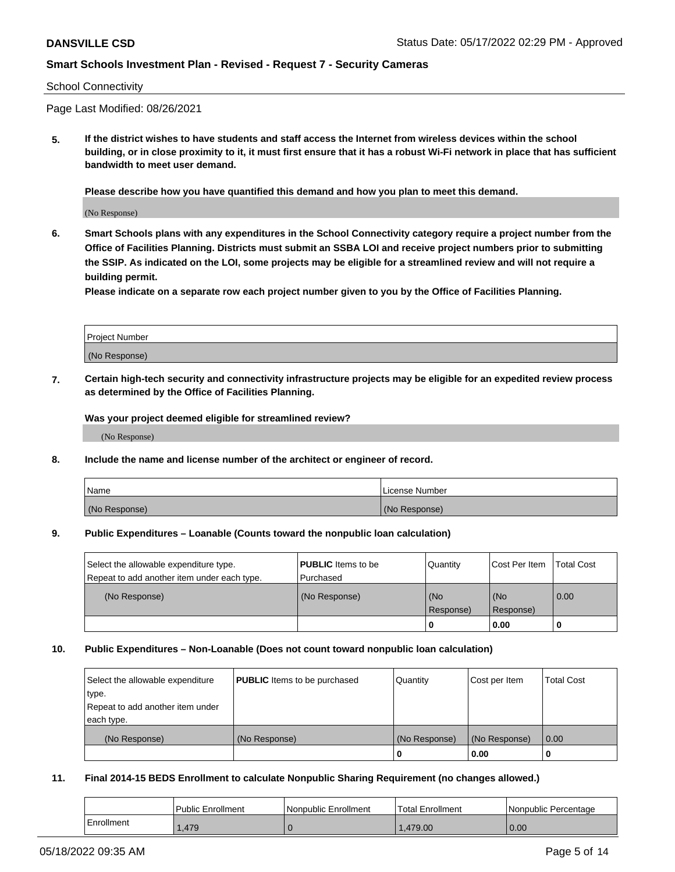#### School Connectivity

Page Last Modified: 08/26/2021

**5. If the district wishes to have students and staff access the Internet from wireless devices within the school building, or in close proximity to it, it must first ensure that it has a robust Wi-Fi network in place that has sufficient bandwidth to meet user demand.**

**Please describe how you have quantified this demand and how you plan to meet this demand.**

(No Response)

**6. Smart Schools plans with any expenditures in the School Connectivity category require a project number from the Office of Facilities Planning. Districts must submit an SSBA LOI and receive project numbers prior to submitting the SSIP. As indicated on the LOI, some projects may be eligible for a streamlined review and will not require a building permit.**

**Please indicate on a separate row each project number given to you by the Office of Facilities Planning.**

| <b>Project Number</b> |  |
|-----------------------|--|
| (No Response)         |  |

**7. Certain high-tech security and connectivity infrastructure projects may be eligible for an expedited review process as determined by the Office of Facilities Planning.**

**Was your project deemed eligible for streamlined review?**

(No Response)

#### **8. Include the name and license number of the architect or engineer of record.**

| Name          | I License Number |
|---------------|------------------|
| (No Response) | (No Response)    |

#### **9. Public Expenditures – Loanable (Counts toward the nonpublic loan calculation)**

| Select the allowable expenditure type.<br>Repeat to add another item under each type. | <b>PUBLIC</b> Items to be<br><b>Purchased</b> | Quantity         | Cost Per Item    | <b>Total Cost</b> |
|---------------------------------------------------------------------------------------|-----------------------------------------------|------------------|------------------|-------------------|
| (No Response)                                                                         | (No Response)                                 | (No<br>Response) | (No<br>Response) | 0.00              |
|                                                                                       |                                               | 0                | 0.00             |                   |

### **10. Public Expenditures – Non-Loanable (Does not count toward nonpublic loan calculation)**

| Select the allowable expenditure | <b>PUBLIC</b> Items to be purchased | Quantity      | Cost per Item | <b>Total Cost</b> |
|----------------------------------|-------------------------------------|---------------|---------------|-------------------|
| type.                            |                                     |               |               |                   |
| Repeat to add another item under |                                     |               |               |                   |
| each type.                       |                                     |               |               |                   |
| (No Response)                    | (No Response)                       | (No Response) | (No Response) | 0.00              |
|                                  |                                     | U             | 0.00          |                   |

#### **11. Final 2014-15 BEDS Enrollment to calculate Nonpublic Sharing Requirement (no changes allowed.)**

|            | <b>Public Enrollment</b> | Nonpublic Enrollment | <b>Total Enrollment</b> | l Nonpublic Percentage |
|------------|--------------------------|----------------------|-------------------------|------------------------|
| Enrollment | 1.479                    |                      | .479.00                 | 0.00                   |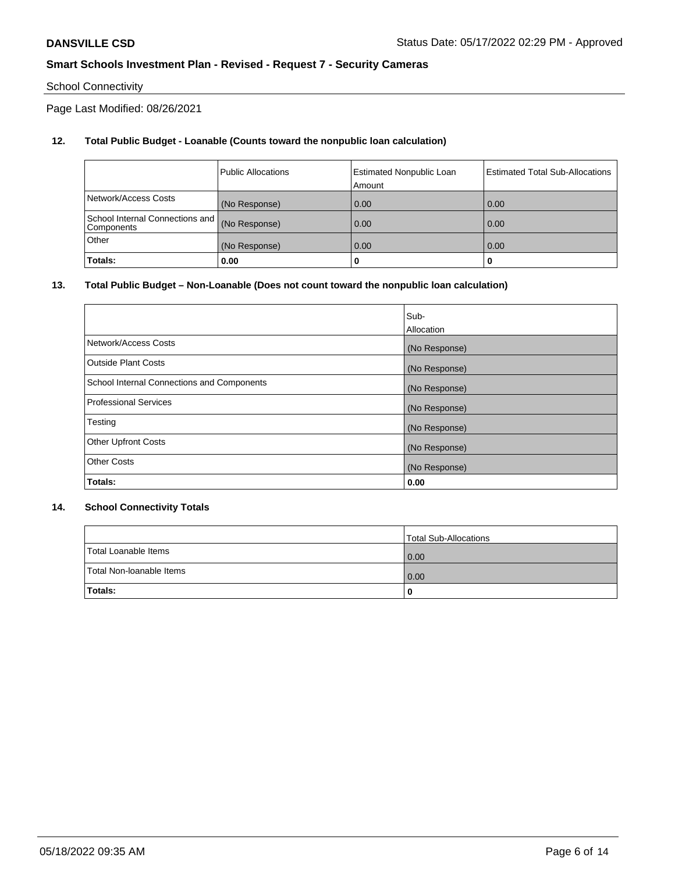# School Connectivity

Page Last Modified: 08/26/2021

# **12. Total Public Budget - Loanable (Counts toward the nonpublic loan calculation)**

|                                               | <b>Public Allocations</b> | <b>Estimated Nonpublic Loan</b><br>Amount | Estimated Total Sub-Allocations |
|-----------------------------------------------|---------------------------|-------------------------------------------|---------------------------------|
| Network/Access Costs                          | (No Response)             | 0.00                                      | 0.00                            |
| School Internal Connections and<br>Components | (No Response)             | 0.00                                      | 0.00                            |
| Other                                         | (No Response)             | 0.00                                      | 0.00                            |
| Totals:                                       | 0.00                      |                                           | 0                               |

### **13. Total Public Budget – Non-Loanable (Does not count toward the nonpublic loan calculation)**

|                                            | Sub-          |
|--------------------------------------------|---------------|
|                                            | Allocation    |
| Network/Access Costs                       | (No Response) |
| <b>Outside Plant Costs</b>                 | (No Response) |
| School Internal Connections and Components | (No Response) |
| <b>Professional Services</b>               | (No Response) |
| Testing                                    | (No Response) |
| <b>Other Upfront Costs</b>                 | (No Response) |
| <b>Other Costs</b>                         | (No Response) |
| Totals:                                    | 0.00          |

### **14. School Connectivity Totals**

|                          | Total Sub-Allocations |
|--------------------------|-----------------------|
| Total Loanable Items     | 0.00                  |
| Total Non-Ioanable Items | 0.00                  |
| Totals:                  | 0                     |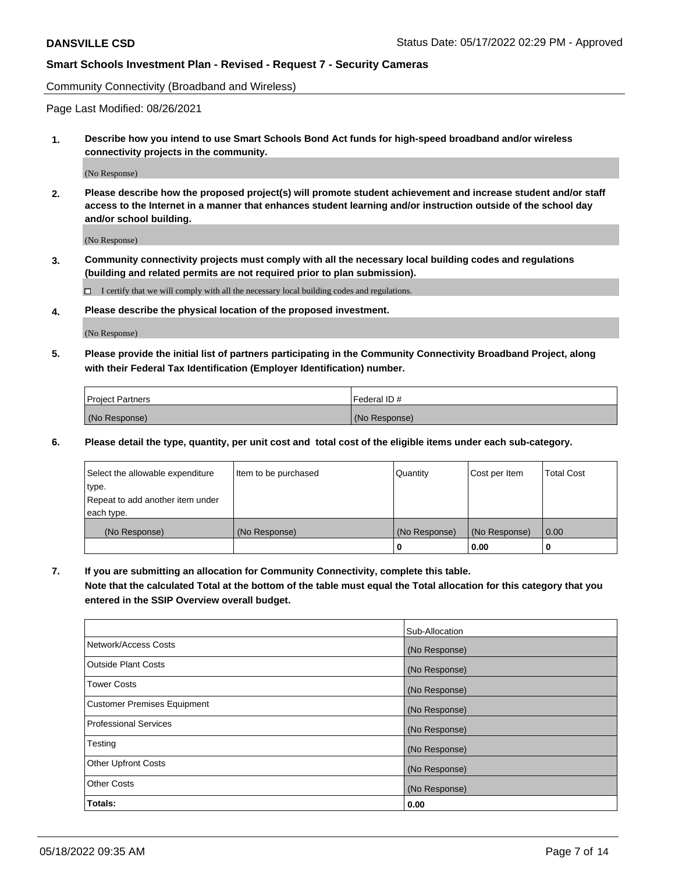Community Connectivity (Broadband and Wireless)

Page Last Modified: 08/26/2021

**1. Describe how you intend to use Smart Schools Bond Act funds for high-speed broadband and/or wireless connectivity projects in the community.**

(No Response)

**2. Please describe how the proposed project(s) will promote student achievement and increase student and/or staff access to the Internet in a manner that enhances student learning and/or instruction outside of the school day and/or school building.**

(No Response)

**3. Community connectivity projects must comply with all the necessary local building codes and regulations (building and related permits are not required prior to plan submission).**

 $\Box$  I certify that we will comply with all the necessary local building codes and regulations.

**4. Please describe the physical location of the proposed investment.**

(No Response)

**5. Please provide the initial list of partners participating in the Community Connectivity Broadband Project, along with their Federal Tax Identification (Employer Identification) number.**

| <b>Project Partners</b> | l Federal ID # |
|-------------------------|----------------|
| (No Response)           | (No Response)  |

**6. Please detail the type, quantity, per unit cost and total cost of the eligible items under each sub-category.**

| Select the allowable expenditure | Item to be purchased | Quantity      | Cost per Item | <b>Total Cost</b> |
|----------------------------------|----------------------|---------------|---------------|-------------------|
| type.                            |                      |               |               |                   |
| Repeat to add another item under |                      |               |               |                   |
| each type.                       |                      |               |               |                   |
| (No Response)                    | (No Response)        | (No Response) | (No Response) | 0.00              |
|                                  |                      | 0             | 0.00          |                   |

**7. If you are submitting an allocation for Community Connectivity, complete this table.**

**Note that the calculated Total at the bottom of the table must equal the Total allocation for this category that you entered in the SSIP Overview overall budget.**

|                                    | Sub-Allocation |
|------------------------------------|----------------|
| Network/Access Costs               | (No Response)  |
| Outside Plant Costs                | (No Response)  |
| <b>Tower Costs</b>                 | (No Response)  |
| <b>Customer Premises Equipment</b> | (No Response)  |
| Professional Services              | (No Response)  |
| Testing                            | (No Response)  |
| <b>Other Upfront Costs</b>         | (No Response)  |
| <b>Other Costs</b>                 | (No Response)  |
| Totals:                            | 0.00           |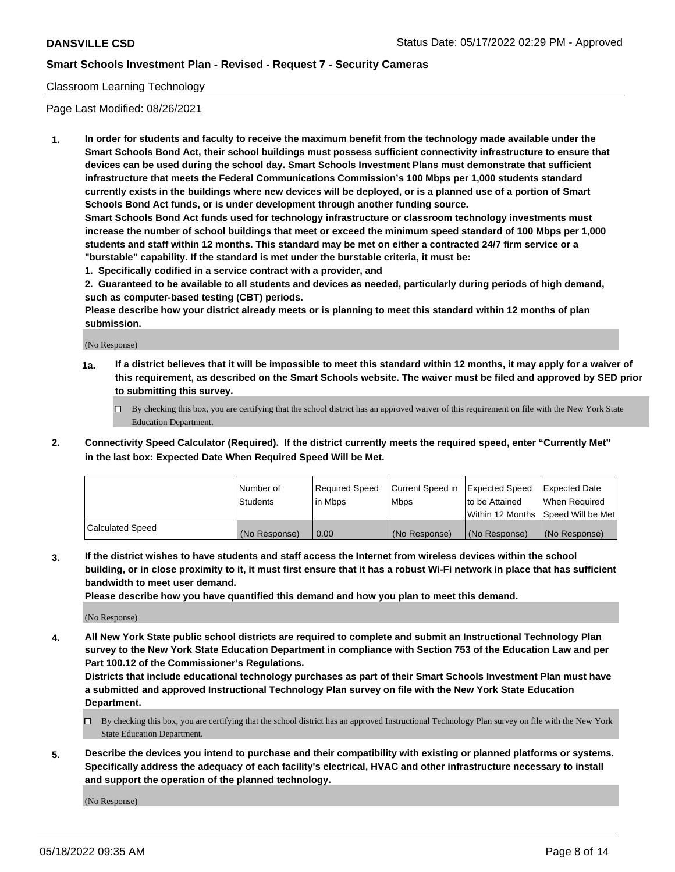## Classroom Learning Technology

Page Last Modified: 08/26/2021

**1. In order for students and faculty to receive the maximum benefit from the technology made available under the Smart Schools Bond Act, their school buildings must possess sufficient connectivity infrastructure to ensure that devices can be used during the school day. Smart Schools Investment Plans must demonstrate that sufficient infrastructure that meets the Federal Communications Commission's 100 Mbps per 1,000 students standard currently exists in the buildings where new devices will be deployed, or is a planned use of a portion of Smart Schools Bond Act funds, or is under development through another funding source.**

**Smart Schools Bond Act funds used for technology infrastructure or classroom technology investments must increase the number of school buildings that meet or exceed the minimum speed standard of 100 Mbps per 1,000 students and staff within 12 months. This standard may be met on either a contracted 24/7 firm service or a "burstable" capability. If the standard is met under the burstable criteria, it must be:**

**1. Specifically codified in a service contract with a provider, and**

**2. Guaranteed to be available to all students and devices as needed, particularly during periods of high demand, such as computer-based testing (CBT) periods.**

**Please describe how your district already meets or is planning to meet this standard within 12 months of plan submission.**

(No Response)

- **1a. If a district believes that it will be impossible to meet this standard within 12 months, it may apply for a waiver of this requirement, as described on the Smart Schools website. The waiver must be filed and approved by SED prior to submitting this survey.**
	- By checking this box, you are certifying that the school district has an approved waiver of this requirement on file with the New York State Education Department.
- **2. Connectivity Speed Calculator (Required). If the district currently meets the required speed, enter "Currently Met" in the last box: Expected Date When Required Speed Will be Met.**

|                  | Number of     | Required Speed | Current Speed in | Expected Speed | Expected Date                           |
|------------------|---------------|----------------|------------------|----------------|-----------------------------------------|
|                  | Students      | lin Mbps       | <b>Mbps</b>      | to be Attained | When Required                           |
|                  |               |                |                  |                | l Within 12 Months ISpeed Will be Met l |
| Calculated Speed | (No Response) | 0.00           | (No Response)    | (No Response)  | (No Response)                           |

**3. If the district wishes to have students and staff access the Internet from wireless devices within the school building, or in close proximity to it, it must first ensure that it has a robust Wi-Fi network in place that has sufficient bandwidth to meet user demand.**

**Please describe how you have quantified this demand and how you plan to meet this demand.**

(No Response)

**4. All New York State public school districts are required to complete and submit an Instructional Technology Plan survey to the New York State Education Department in compliance with Section 753 of the Education Law and per Part 100.12 of the Commissioner's Regulations.**

**Districts that include educational technology purchases as part of their Smart Schools Investment Plan must have a submitted and approved Instructional Technology Plan survey on file with the New York State Education Department.**

- By checking this box, you are certifying that the school district has an approved Instructional Technology Plan survey on file with the New York State Education Department.
- **5. Describe the devices you intend to purchase and their compatibility with existing or planned platforms or systems. Specifically address the adequacy of each facility's electrical, HVAC and other infrastructure necessary to install and support the operation of the planned technology.**

(No Response)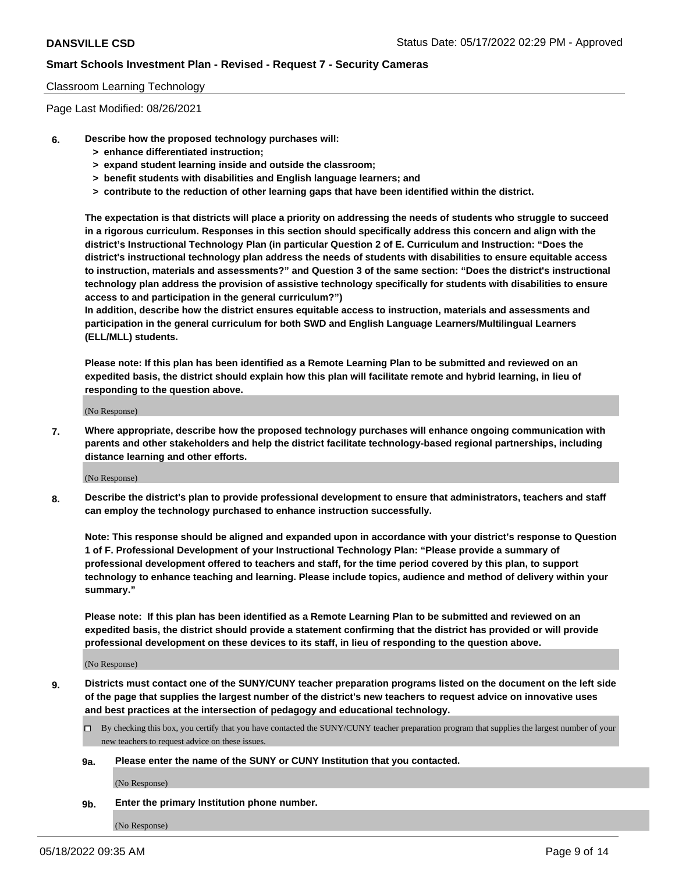### Classroom Learning Technology

Page Last Modified: 08/26/2021

- **6. Describe how the proposed technology purchases will:**
	- **> enhance differentiated instruction;**
	- **> expand student learning inside and outside the classroom;**
	- **> benefit students with disabilities and English language learners; and**
	- **> contribute to the reduction of other learning gaps that have been identified within the district.**

**The expectation is that districts will place a priority on addressing the needs of students who struggle to succeed in a rigorous curriculum. Responses in this section should specifically address this concern and align with the district's Instructional Technology Plan (in particular Question 2 of E. Curriculum and Instruction: "Does the district's instructional technology plan address the needs of students with disabilities to ensure equitable access to instruction, materials and assessments?" and Question 3 of the same section: "Does the district's instructional technology plan address the provision of assistive technology specifically for students with disabilities to ensure access to and participation in the general curriculum?")**

**In addition, describe how the district ensures equitable access to instruction, materials and assessments and participation in the general curriculum for both SWD and English Language Learners/Multilingual Learners (ELL/MLL) students.**

**Please note: If this plan has been identified as a Remote Learning Plan to be submitted and reviewed on an expedited basis, the district should explain how this plan will facilitate remote and hybrid learning, in lieu of responding to the question above.**

(No Response)

**7. Where appropriate, describe how the proposed technology purchases will enhance ongoing communication with parents and other stakeholders and help the district facilitate technology-based regional partnerships, including distance learning and other efforts.**

(No Response)

**8. Describe the district's plan to provide professional development to ensure that administrators, teachers and staff can employ the technology purchased to enhance instruction successfully.**

**Note: This response should be aligned and expanded upon in accordance with your district's response to Question 1 of F. Professional Development of your Instructional Technology Plan: "Please provide a summary of professional development offered to teachers and staff, for the time period covered by this plan, to support technology to enhance teaching and learning. Please include topics, audience and method of delivery within your summary."**

**Please note: If this plan has been identified as a Remote Learning Plan to be submitted and reviewed on an expedited basis, the district should provide a statement confirming that the district has provided or will provide professional development on these devices to its staff, in lieu of responding to the question above.**

(No Response)

**9. Districts must contact one of the SUNY/CUNY teacher preparation programs listed on the document on the left side of the page that supplies the largest number of the district's new teachers to request advice on innovative uses and best practices at the intersection of pedagogy and educational technology.**

- By checking this box, you certify that you have contacted the SUNY/CUNY teacher preparation program that supplies the largest number of your new teachers to request advice on these issues.
- **9a. Please enter the name of the SUNY or CUNY Institution that you contacted.**

(No Response)

**9b. Enter the primary Institution phone number.**

(No Response)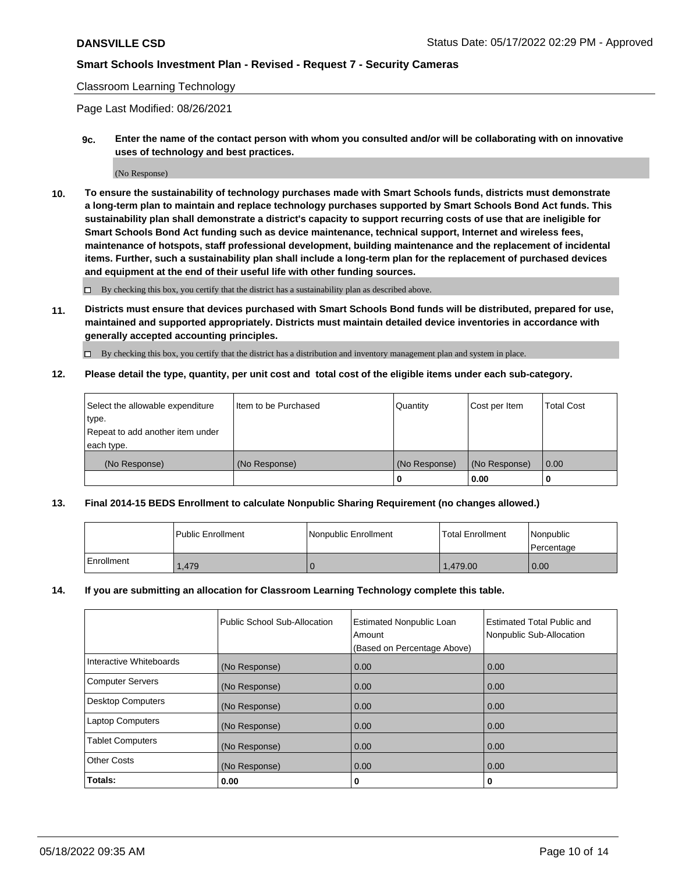# Classroom Learning Technology

Page Last Modified: 08/26/2021

**9c. Enter the name of the contact person with whom you consulted and/or will be collaborating with on innovative uses of technology and best practices.**

(No Response)

**10. To ensure the sustainability of technology purchases made with Smart Schools funds, districts must demonstrate a long-term plan to maintain and replace technology purchases supported by Smart Schools Bond Act funds. This sustainability plan shall demonstrate a district's capacity to support recurring costs of use that are ineligible for Smart Schools Bond Act funding such as device maintenance, technical support, Internet and wireless fees, maintenance of hotspots, staff professional development, building maintenance and the replacement of incidental items. Further, such a sustainability plan shall include a long-term plan for the replacement of purchased devices and equipment at the end of their useful life with other funding sources.**

 $\square$  By checking this box, you certify that the district has a sustainability plan as described above.

**11. Districts must ensure that devices purchased with Smart Schools Bond funds will be distributed, prepared for use, maintained and supported appropriately. Districts must maintain detailed device inventories in accordance with generally accepted accounting principles.**

By checking this box, you certify that the district has a distribution and inventory management plan and system in place.

**12. Please detail the type, quantity, per unit cost and total cost of the eligible items under each sub-category.**

| Select the allowable expenditure<br>type.      | I Item to be Purchased | Quantity      | Cost per Item | <b>Total Cost</b> |
|------------------------------------------------|------------------------|---------------|---------------|-------------------|
| Repeat to add another item under<br>each type. |                        |               |               |                   |
| (No Response)                                  | (No Response)          | (No Response) | (No Response) | 0.00              |
|                                                |                        | U             | 0.00          |                   |

# **13. Final 2014-15 BEDS Enrollment to calculate Nonpublic Sharing Requirement (no changes allowed.)**

|            | Public Enrollment | Nonpublic Enrollment | <b>Total Enrollment</b> | Nonpublic<br>l Percentage |
|------------|-------------------|----------------------|-------------------------|---------------------------|
| Enrollment | .479              |                      | .479.00                 | 0.00                      |

# **14. If you are submitting an allocation for Classroom Learning Technology complete this table.**

|                          | Public School Sub-Allocation | <b>Estimated Nonpublic Loan</b><br>Amount | <b>Estimated Total Public and</b><br>Nonpublic Sub-Allocation |
|--------------------------|------------------------------|-------------------------------------------|---------------------------------------------------------------|
|                          |                              | (Based on Percentage Above)               |                                                               |
| Interactive Whiteboards  | (No Response)                | 0.00                                      | 0.00                                                          |
| <b>Computer Servers</b>  | (No Response)                | 0.00                                      | 0.00                                                          |
| <b>Desktop Computers</b> | (No Response)                | 0.00                                      | 0.00                                                          |
| <b>Laptop Computers</b>  | (No Response)                | 0.00                                      | 0.00                                                          |
| <b>Tablet Computers</b>  | (No Response)                | 0.00                                      | 0.00                                                          |
| <b>Other Costs</b>       | (No Response)                | 0.00                                      | 0.00                                                          |
| Totals:                  | 0.00                         | 0                                         |                                                               |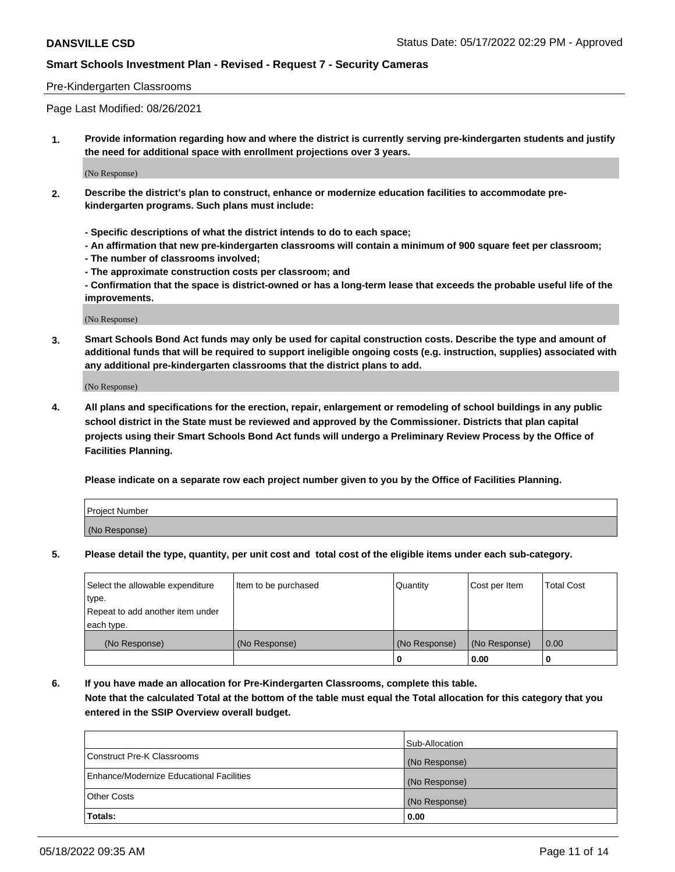### Pre-Kindergarten Classrooms

Page Last Modified: 08/26/2021

**1. Provide information regarding how and where the district is currently serving pre-kindergarten students and justify the need for additional space with enrollment projections over 3 years.**

(No Response)

- **2. Describe the district's plan to construct, enhance or modernize education facilities to accommodate prekindergarten programs. Such plans must include:**
	- **Specific descriptions of what the district intends to do to each space;**
	- **An affirmation that new pre-kindergarten classrooms will contain a minimum of 900 square feet per classroom;**
	- **The number of classrooms involved;**
	- **The approximate construction costs per classroom; and**
	- **Confirmation that the space is district-owned or has a long-term lease that exceeds the probable useful life of the improvements.**

(No Response)

**3. Smart Schools Bond Act funds may only be used for capital construction costs. Describe the type and amount of additional funds that will be required to support ineligible ongoing costs (e.g. instruction, supplies) associated with any additional pre-kindergarten classrooms that the district plans to add.**

(No Response)

**4. All plans and specifications for the erection, repair, enlargement or remodeling of school buildings in any public school district in the State must be reviewed and approved by the Commissioner. Districts that plan capital projects using their Smart Schools Bond Act funds will undergo a Preliminary Review Process by the Office of Facilities Planning.**

**Please indicate on a separate row each project number given to you by the Office of Facilities Planning.**

| Project Number |  |
|----------------|--|
| (No Response)  |  |

**5. Please detail the type, quantity, per unit cost and total cost of the eligible items under each sub-category.**

| Select the allowable expenditure | Item to be purchased | Quantity      | Cost per Item | <b>Total Cost</b> |
|----------------------------------|----------------------|---------------|---------------|-------------------|
| type.                            |                      |               |               |                   |
| Repeat to add another item under |                      |               |               |                   |
| each type.                       |                      |               |               |                   |
| (No Response)                    | (No Response)        | (No Response) | (No Response) | 0.00              |
|                                  |                      | 0             | 0.00          |                   |

**6. If you have made an allocation for Pre-Kindergarten Classrooms, complete this table.**

**Note that the calculated Total at the bottom of the table must equal the Total allocation for this category that you entered in the SSIP Overview overall budget.**

|                                          | Sub-Allocation |
|------------------------------------------|----------------|
| Construct Pre-K Classrooms               | (No Response)  |
| Enhance/Modernize Educational Facilities | (No Response)  |
| <b>Other Costs</b>                       | (No Response)  |
| Totals:                                  | 0.00           |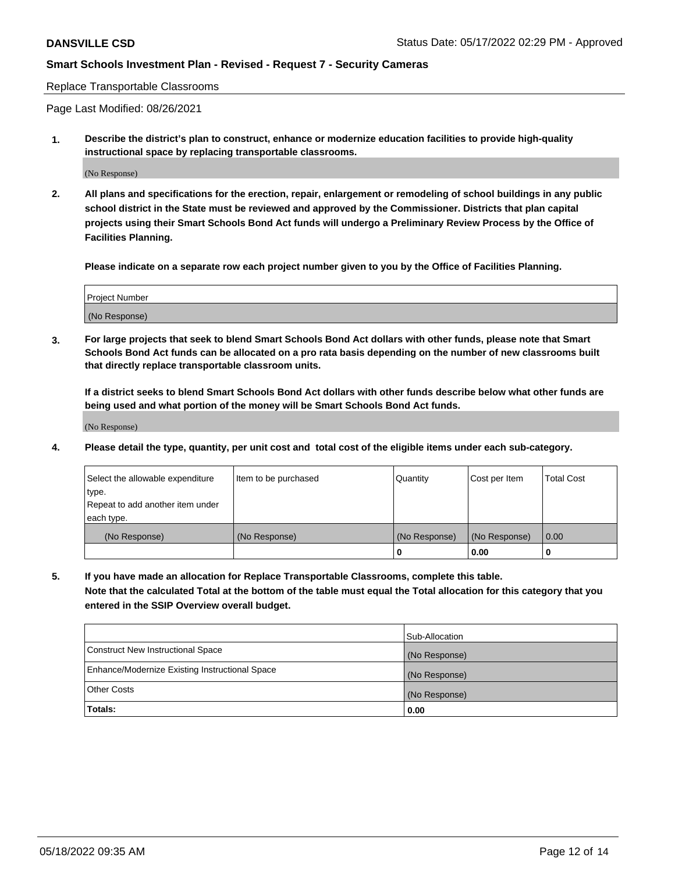Replace Transportable Classrooms

Page Last Modified: 08/26/2021

**1. Describe the district's plan to construct, enhance or modernize education facilities to provide high-quality instructional space by replacing transportable classrooms.**

(No Response)

**2. All plans and specifications for the erection, repair, enlargement or remodeling of school buildings in any public school district in the State must be reviewed and approved by the Commissioner. Districts that plan capital projects using their Smart Schools Bond Act funds will undergo a Preliminary Review Process by the Office of Facilities Planning.**

**Please indicate on a separate row each project number given to you by the Office of Facilities Planning.**

| <b>Project Number</b> |  |
|-----------------------|--|
| (No Response)         |  |

**3. For large projects that seek to blend Smart Schools Bond Act dollars with other funds, please note that Smart Schools Bond Act funds can be allocated on a pro rata basis depending on the number of new classrooms built that directly replace transportable classroom units.**

**If a district seeks to blend Smart Schools Bond Act dollars with other funds describe below what other funds are being used and what portion of the money will be Smart Schools Bond Act funds.**

(No Response)

**4. Please detail the type, quantity, per unit cost and total cost of the eligible items under each sub-category.**

| Select the allowable expenditure | Item to be purchased | Quantity      | Cost per Item | <b>Total Cost</b> |
|----------------------------------|----------------------|---------------|---------------|-------------------|
| type.                            |                      |               |               |                   |
| Repeat to add another item under |                      |               |               |                   |
| each type.                       |                      |               |               |                   |
| (No Response)                    | (No Response)        | (No Response) | (No Response) | 0.00              |
|                                  |                      | U             | 0.00          |                   |

**5. If you have made an allocation for Replace Transportable Classrooms, complete this table.**

**Note that the calculated Total at the bottom of the table must equal the Total allocation for this category that you entered in the SSIP Overview overall budget.**

|                                                | Sub-Allocation |
|------------------------------------------------|----------------|
| Construct New Instructional Space              | (No Response)  |
| Enhance/Modernize Existing Instructional Space | (No Response)  |
| <b>Other Costs</b>                             | (No Response)  |
| Totals:                                        | 0.00           |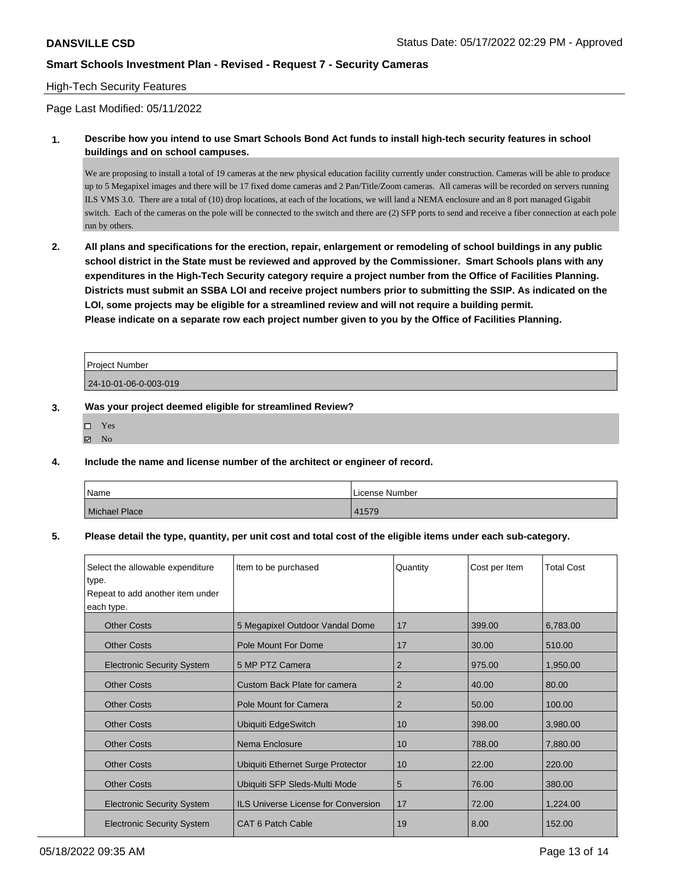### High-Tech Security Features

Page Last Modified: 05/11/2022

**1. Describe how you intend to use Smart Schools Bond Act funds to install high-tech security features in school buildings and on school campuses.**

We are proposing to install a total of 19 cameras at the new physical education facility currently under construction. Cameras will be able to produce up to 5 Megapixel images and there will be 17 fixed dome cameras and 2 Pan/Title/Zoom cameras. All cameras will be recorded on servers running ILS VMS 3.0. There are a total of (10) drop locations, at each of the locations, we will land a NEMA enclosure and an 8 port managed Gigabit switch. Each of the cameras on the pole will be connected to the switch and there are (2) SFP ports to send and receive a fiber connection at each pole run by others.

**2. All plans and specifications for the erection, repair, enlargement or remodeling of school buildings in any public school district in the State must be reviewed and approved by the Commissioner. Smart Schools plans with any expenditures in the High-Tech Security category require a project number from the Office of Facilities Planning. Districts must submit an SSBA LOI and receive project numbers prior to submitting the SSIP. As indicated on the LOI, some projects may be eligible for a streamlined review and will not require a building permit. Please indicate on a separate row each project number given to you by the Office of Facilities Planning.**

| <b>Project Number</b> |  |
|-----------------------|--|
| 24-10-01-06-0-003-019 |  |

**3. Was your project deemed eligible for streamlined Review?**

| - 1 | Y es           |
|-----|----------------|
| ✓   | N <sub>0</sub> |

**4. Include the name and license number of the architect or engineer of record.**

| Name          | License Number |
|---------------|----------------|
| Michael Place | 41579          |

**5. Please detail the type, quantity, per unit cost and total cost of the eligible items under each sub-category.**

| Select the allowable expenditure<br>type.<br>Repeat to add another item under | Item to be purchased                       | Quantity       | Cost per Item | <b>Total Cost</b> |
|-------------------------------------------------------------------------------|--------------------------------------------|----------------|---------------|-------------------|
| each type.                                                                    |                                            |                |               |                   |
| <b>Other Costs</b>                                                            | 5 Megapixel Outdoor Vandal Dome            | 17             | 399.00        | 6,783.00          |
| <b>Other Costs</b>                                                            | Pole Mount For Dome                        | 17             | 30.00         | 510.00            |
| <b>Electronic Security System</b>                                             | 5 MP PTZ Camera                            | $\overline{2}$ | 975.00        | 1,950.00          |
| <b>Other Costs</b>                                                            | Custom Back Plate for camera               | 2              | 40.00         | 80.00             |
| <b>Other Costs</b>                                                            | Pole Mount for Camera                      | $\overline{2}$ | 50.00         | 100.00            |
| <b>Other Costs</b>                                                            | Ubiquiti EdgeSwitch                        | 10             | 398.00        | 3,980.00          |
| <b>Other Costs</b>                                                            | Nema Enclosure                             | 10             | 788.00        | 7,880.00          |
| <b>Other Costs</b>                                                            | Ubiquiti Ethernet Surge Protector          | 10             | 22.00         | 220.00            |
| <b>Other Costs</b>                                                            | Ubiquiti SFP Sleds-Multi Mode              | 5              | 76.00         | 380.00            |
| <b>Electronic Security System</b>                                             | <b>ILS Universe License for Conversion</b> | 17             | 72.00         | 1,224.00          |
| <b>Electronic Security System</b>                                             | CAT 6 Patch Cable                          | 19             | 8.00          | 152.00            |